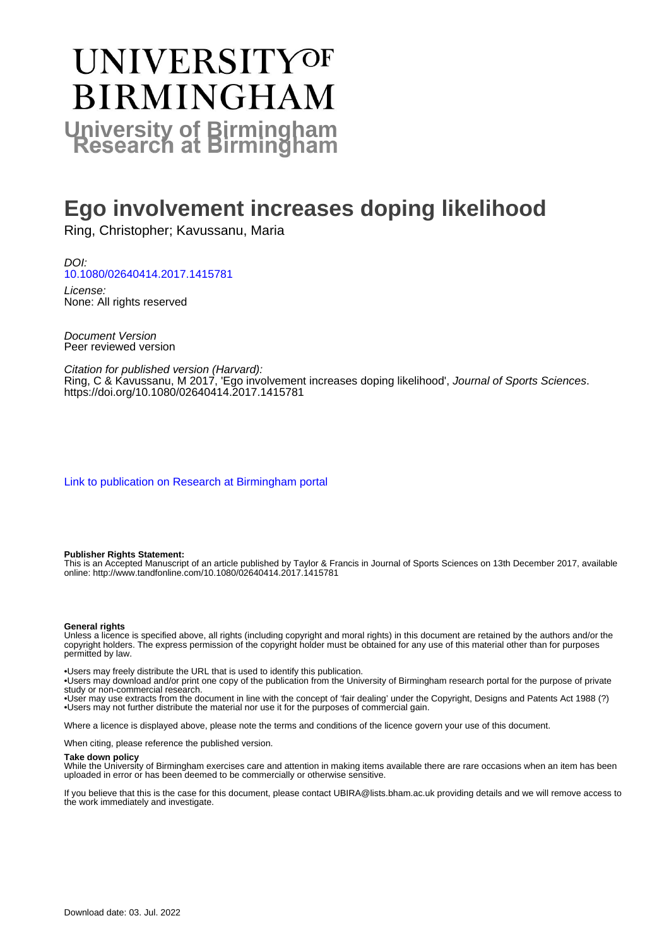# UNIVERSITYOF **BIRMINGHAM University of Birmingham**

# **Ego involvement increases doping likelihood**

Ring, Christopher; Kavussanu, Maria

DOI: [10.1080/02640414.2017.1415781](https://doi.org/10.1080/02640414.2017.1415781)

License: None: All rights reserved

Document Version Peer reviewed version

Citation for published version (Harvard): Ring, C & Kavussanu, M 2017, 'Ego involvement increases doping likelihood', Journal of Sports Sciences. <https://doi.org/10.1080/02640414.2017.1415781>

[Link to publication on Research at Birmingham portal](https://birmingham.elsevierpure.com/en/publications/6bf26f6a-dfea-41a7-a60a-9771df5ce998)

#### **Publisher Rights Statement:**

This is an Accepted Manuscript of an article published by Taylor & Francis in Journal of Sports Sciences on 13th December 2017, available online: http://www.tandfonline.com/10.1080/02640414.2017.1415781

#### **General rights**

Unless a licence is specified above, all rights (including copyright and moral rights) in this document are retained by the authors and/or the copyright holders. The express permission of the copyright holder must be obtained for any use of this material other than for purposes permitted by law.

• Users may freely distribute the URL that is used to identify this publication.

• Users may download and/or print one copy of the publication from the University of Birmingham research portal for the purpose of private study or non-commercial research.

• User may use extracts from the document in line with the concept of 'fair dealing' under the Copyright, Designs and Patents Act 1988 (?) • Users may not further distribute the material nor use it for the purposes of commercial gain.

Where a licence is displayed above, please note the terms and conditions of the licence govern your use of this document.

When citing, please reference the published version.

#### **Take down policy**

While the University of Birmingham exercises care and attention in making items available there are rare occasions when an item has been uploaded in error or has been deemed to be commercially or otherwise sensitive.

If you believe that this is the case for this document, please contact UBIRA@lists.bham.ac.uk providing details and we will remove access to the work immediately and investigate.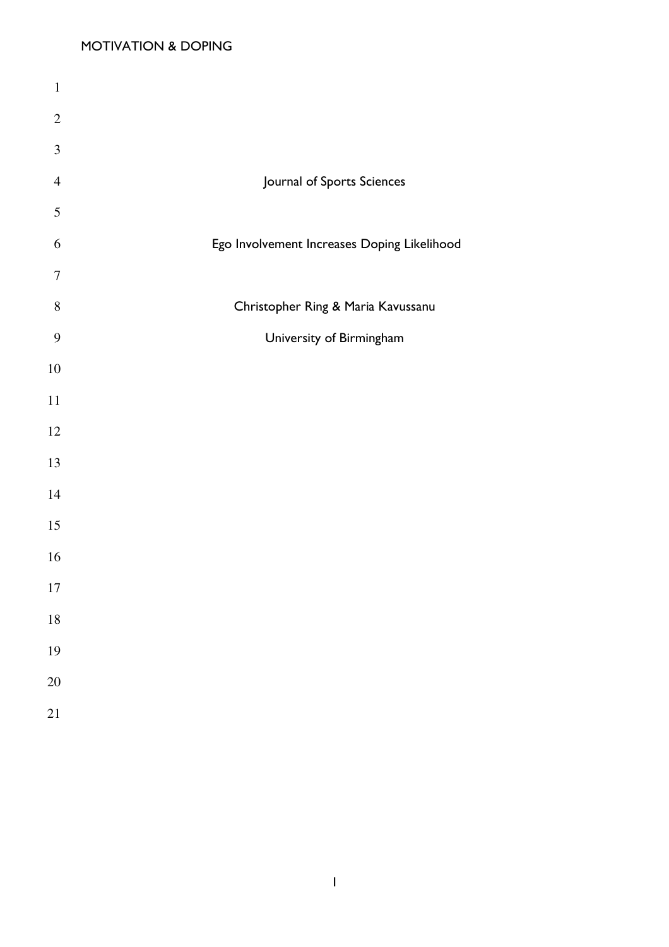| $\mathbf{1}$     |                                             |
|------------------|---------------------------------------------|
| $\sqrt{2}$       |                                             |
| $\mathfrak{Z}$   |                                             |
| $\overline{4}$   | Journal of Sports Sciences                  |
| $\mathfrak s$    |                                             |
| 6                | Ego Involvement Increases Doping Likelihood |
| $\tau$           |                                             |
| $8\,$            | Christopher Ring & Maria Kavussanu          |
| $\boldsymbol{9}$ | University of Birmingham                    |
| $10\,$           |                                             |
| $11\,$           |                                             |
| 12               |                                             |
| 13               |                                             |
| 14               |                                             |
| 15               |                                             |
| 16               |                                             |
| 17               |                                             |
| 18               |                                             |
| 19               |                                             |
| 20               |                                             |
| 21               |                                             |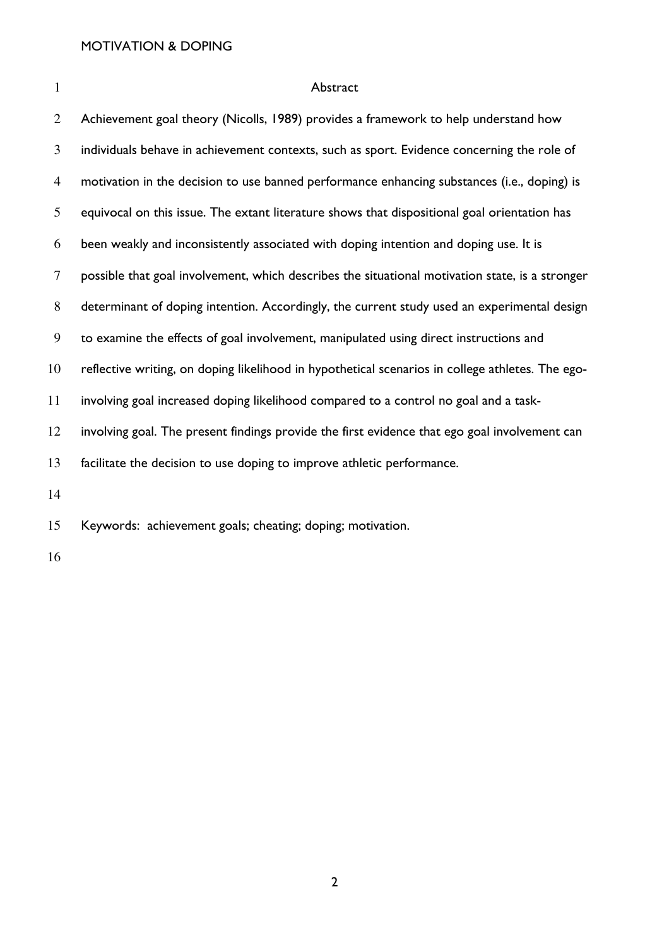| $\mathbf{1}$   | Abstract                                                                                         |
|----------------|--------------------------------------------------------------------------------------------------|
| $\overline{2}$ | Achievement goal theory (Nicolls, 1989) provides a framework to help understand how              |
| 3              | individuals behave in achievement contexts, such as sport. Evidence concerning the role of       |
| $\overline{4}$ | motivation in the decision to use banned performance enhancing substances (i.e., doping) is      |
| 5              | equivocal on this issue. The extant literature shows that dispositional goal orientation has     |
| 6              | been weakly and inconsistently associated with doping intention and doping use. It is            |
| $\tau$         | possible that goal involvement, which describes the situational motivation state, is a stronger  |
| 8              | determinant of doping intention. Accordingly, the current study used an experimental design      |
| 9              | to examine the effects of goal involvement, manipulated using direct instructions and            |
| 10             | reflective writing, on doping likelihood in hypothetical scenarios in college athletes. The ego- |
| 11             | involving goal increased doping likelihood compared to a control no goal and a task-             |
| 12             | involving goal. The present findings provide the first evidence that ego goal involvement can    |
| 13             | facilitate the decision to use doping to improve athletic performance.                           |
| 14             |                                                                                                  |
| 15             | Keywords: achievement goals; cheating; doping; motivation.                                       |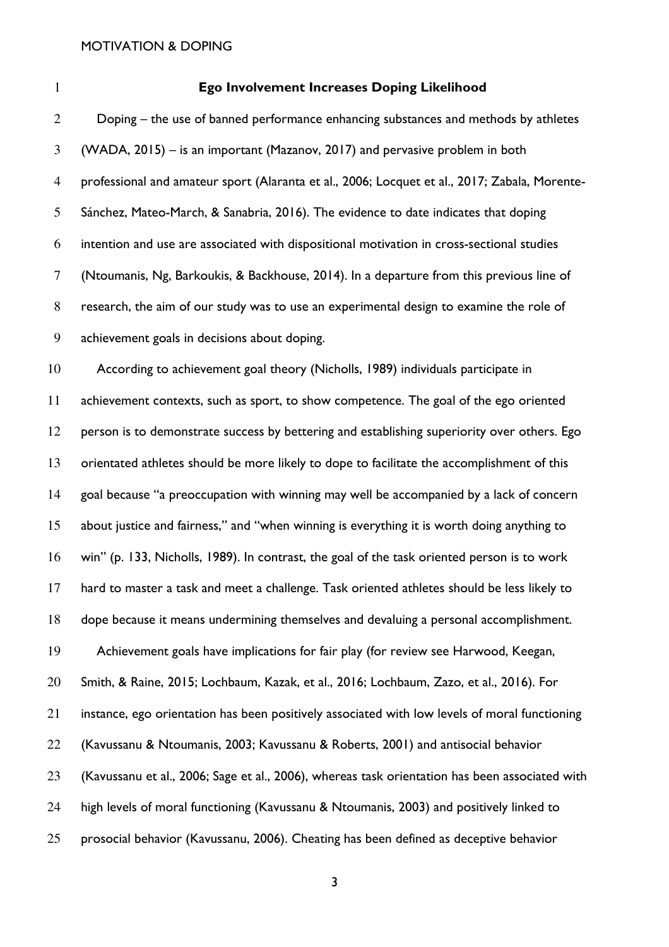#### Ego Involvement Increases Doping Likelihood

Doping – the use of banned performance enhancing substances and methods by athletes (WADA, 2015) – is an important (Mazanov, 2017) and pervasive problem in both professional and amateur sport (Alaranta et al., 2006; Locquet et al., 2017; Zabala, Morente-Sánchez, Mateo-March, & Sanabria, 2016). The evidence to date indicates that doping intention and use are associated with dispositional motivation in cross-sectional studies (Ntoumanis, Ng, Barkoukis, & Backhouse, 2014). In a departure from this previous line of research, the aim of our study was to use an experimental design to examine the role of achievement goals in decisions about doping.

According to achievement goal theory (Nicholls, 1989) individuals participate in achievement contexts, such as sport, to show competence. The goal of the ego oriented person is to demonstrate success by bettering and establishing superiority over others. Ego orientated athletes should be more likely to dope to facilitate the accomplishment of this goal because "a preoccupation with winning may well be accompanied by a lack of concern about justice and fairness," and "when winning is everything it is worth doing anything to win" (p. 133, Nicholls, 1989). In contrast, the goal of the task oriented person is to work hard to master a task and meet a challenge. Task oriented athletes should be less likely to dope because it means undermining themselves and devaluing a personal accomplishment. Achievement goals have implications for fair play (for review see Harwood, Keegan, Smith, & Raine, 2015; Lochbaum, Kazak, et al., 2016; Lochbaum, Zazo, et al., 2016). For instance, ego orientation has been positively associated with low levels of moral functioning (Kavussanu & Ntoumanis, 2003; Kavussanu & Roberts, 2001) and antisocial behavior (Kavussanu et al., 2006; Sage et al., 2006), whereas task orientation has been associated with high levels of moral functioning (Kavussanu & Ntoumanis, 2003) and positively linked to prosocial behavior (Kavussanu, 2006). Cheating has been defined as deceptive behavior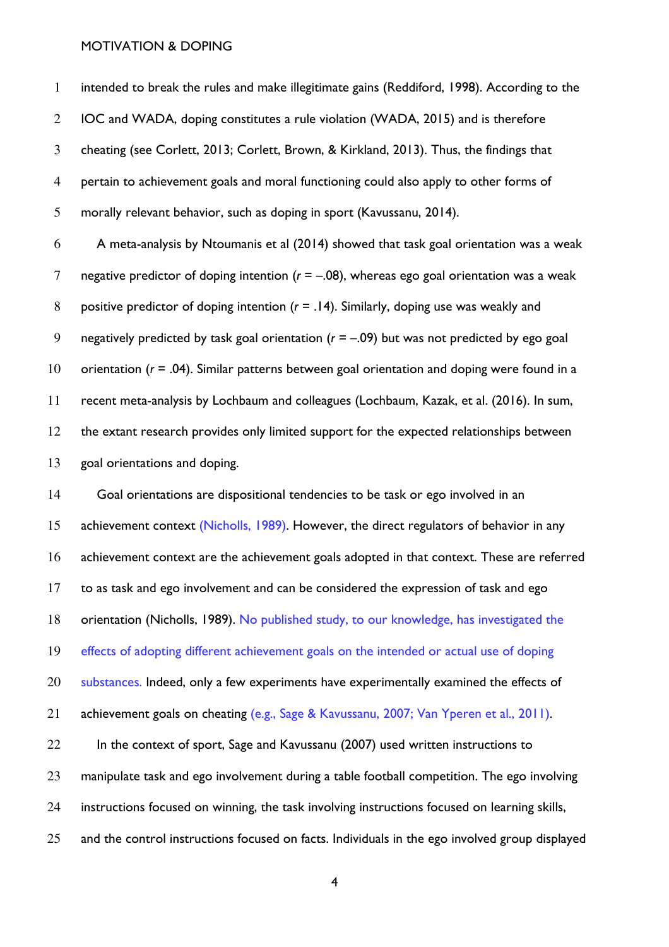intended to break the rules and make illegitimate gains (Reddiford, 1998). According to the IOC and WADA, doping constitutes a rule violation (WADA, 2015) and is therefore cheating (see Corlett, 2013; Corlett, Brown, & Kirkland, 2013). Thus, the findings that pertain to achievement goals and moral functioning could also apply to other forms of morally relevant behavior, such as doping in sport (Kavussanu, 2014).

6 A meta-analysis by Ntoumanis et al (2014) showed that task goal orientation was a weak 7 negative predictor of doping intention ( $r = -.08$ ), whereas ego goal orientation was a weak 8 positive predictor of doping intention ( $r = 0.14$ ). Similarly, doping use was weakly and 9 negatively predicted by task goal orientation ( $r = -.09$ ) but was not predicted by ego goal 10 orientation ( $r = .04$ ). Similar patterns between goal orientation and doping were found in a 11 recent meta-analysis by Lochbaum and colleagues (Lochbaum, Kazak, et al. (2016). In sum, 12 the extant research provides only limited support for the expected relationships between 13 goal orientations and doping.

14 Goal orientations are dispositional tendencies to be task or ego involved in an 15 achievement context (Nicholls, 1989). However, the direct regulators of behavior in any 16 achievement context are the achievement goals adopted in that context. These are referred 17 to as task and ego involvement and can be considered the expression of task and ego 18 orientation (Nicholls, 1989). No published study, to our knowledge, has investigated the 19 effects of adopting different achievement goals on the intended or actual use of doping 20 substances. Indeed, only a few experiments have experimentally examined the effects of 21 achievement goals on cheating (e.g., Sage & Kavussanu, 2007; Van Yperen et al., 2011). 22 In the context of sport, Sage and Kavussanu (2007) used written instructions to 23 manipulate task and ego involvement during a table football competition. The ego involving 24 instructions focused on winning, the task involving instructions focused on learning skills, 25 and the control instructions focused on facts. Individuals in the ego involved group displayed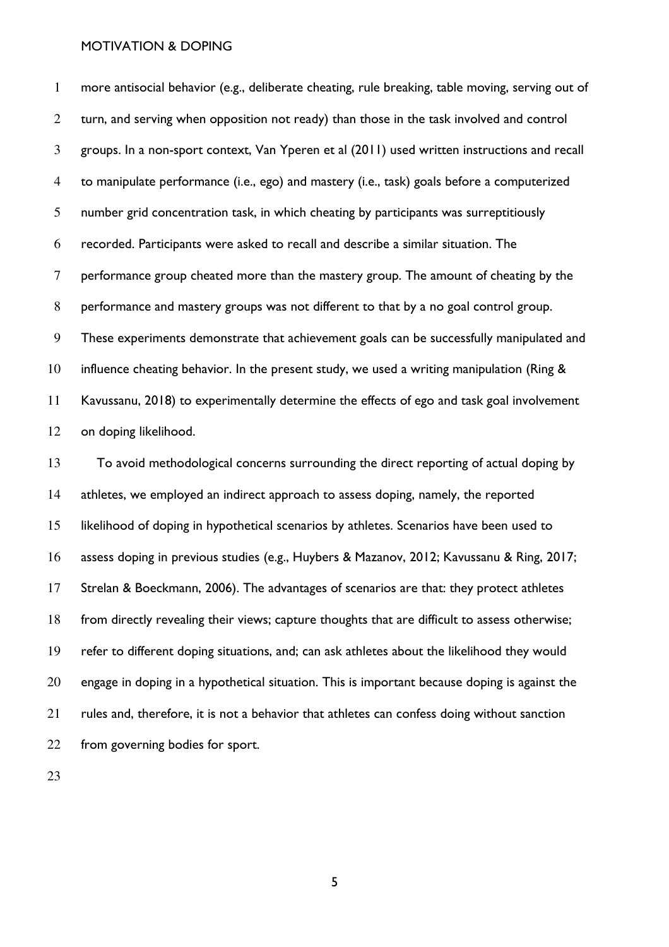more antisocial behavior (e.g., deliberate cheating, rule breaking, table moving, serving out of 2 turn, and serving when opposition not ready) than those in the task involved and control groups. In a non-sport context, Van Yperen et al (2011) used written instructions and recall to manipulate performance (i.e., ego) and mastery (i.e., task) goals before a computerized number grid concentration task, in which cheating by participants was surreptitiously recorded. Participants were asked to recall and describe a similar situation. The performance group cheated more than the mastery group. The amount of cheating by the performance and mastery groups was not different to that by a no goal control group. These experiments demonstrate that achievement goals can be successfully manipulated and 10 influence cheating behavior. In the present study, we used a writing manipulation (Ring & Kavussanu, 2018) to experimentally determine the effects of ego and task goal involvement on doping likelihood.

To avoid methodological concerns surrounding the direct reporting of actual doping by athletes, we employed an indirect approach to assess doping, namely, the reported likelihood of doping in hypothetical scenarios by athletes. Scenarios have been used to assess doping in previous studies (e.g., Huybers & Mazanov, 2012; Kavussanu & Ring, 2017; Strelan & Boeckmann, 2006). The advantages of scenarios are that: they protect athletes from directly revealing their views; capture thoughts that are difficult to assess otherwise; refer to different doping situations, and; can ask athletes about the likelihood they would engage in doping in a hypothetical situation. This is important because doping is against the rules and, therefore, it is not a behavior that athletes can confess doing without sanction from governing bodies for sport.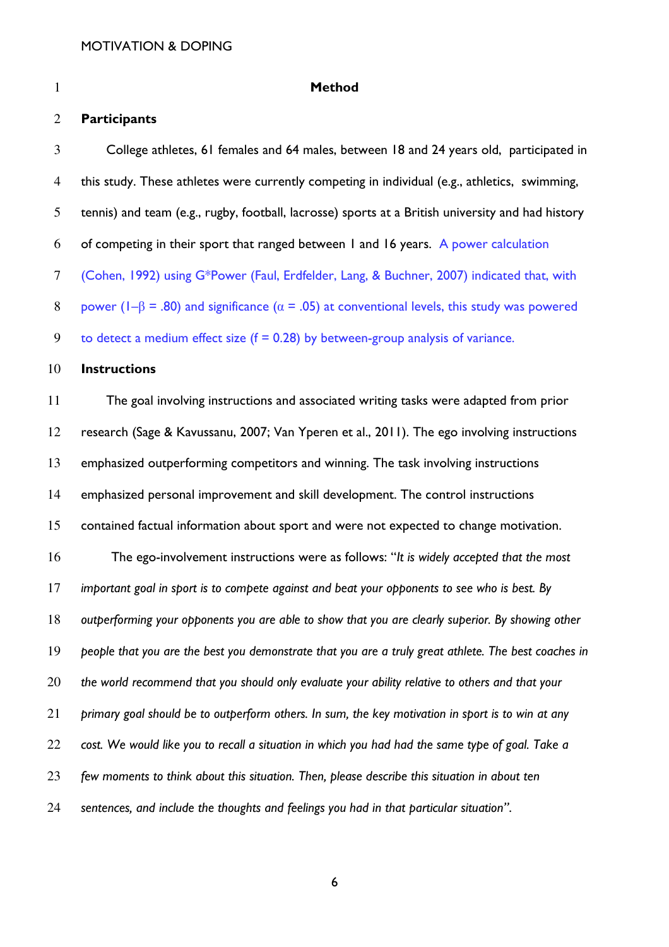| $\mathbf{1}$   | <b>Method</b>                                                                                                |
|----------------|--------------------------------------------------------------------------------------------------------------|
| $\overline{2}$ | <b>Participants</b>                                                                                          |
| 3              | College athletes, 61 females and 64 males, between 18 and 24 years old, participated in                      |
| $\overline{4}$ | this study. These athletes were currently competing in individual (e.g., athletics, swimming,                |
| $\mathfrak{H}$ | tennis) and team (e.g., rugby, football, lacrosse) sports at a British university and had history            |
| 6              | of competing in their sport that ranged between I and 16 years. A power calculation                          |
| $\tau$         | (Cohen, 1992) using G*Power (Faul, Erdfelder, Lang, & Buchner, 2007) indicated that, with                    |
| $8\,$          | power ( $I - \beta$ = .80) and significance ( $\alpha$ = .05) at conventional levels, this study was powered |
| 9              | to detect a medium effect size $(f = 0.28)$ by between-group analysis of variance.                           |
| 10             | <b>Instructions</b>                                                                                          |
| 11             | The goal involving instructions and associated writing tasks were adapted from prior                         |
| 12             | research (Sage & Kavussanu, 2007; Van Yperen et al., 2011). The ego involving instructions                   |
| 13             | emphasized outperforming competitors and winning. The task involving instructions                            |
| 14             | emphasized personal improvement and skill development. The control instructions                              |
| 15             | contained factual information about sport and were not expected to change motivation.                        |
| 16             | The ego-involvement instructions were as follows: "It is widely accepted that the most                       |
| 17             | important goal in sport is to compete against and beat your opponents to see who is best. By                 |
| 18             | outperforming your opponents you are able to show that you are clearly superior. By showing other            |
| 19             | people that you are the best you demonstrate that you are a truly great athlete. The best coaches in         |
| 20             | the world recommend that you should only evaluate your ability relative to others and that your              |
| 21             | primary goal should be to outperform others. In sum, the key motivation in sport is to win at any            |
| 22             | cost. We would like you to recall a situation in which you had had the same type of goal. Take a             |
| 23             | few moments to think about this situation. Then, please describe this situation in about ten                 |
| 24             | sentences, and include the thoughts and feelings you had in that particular situation".                      |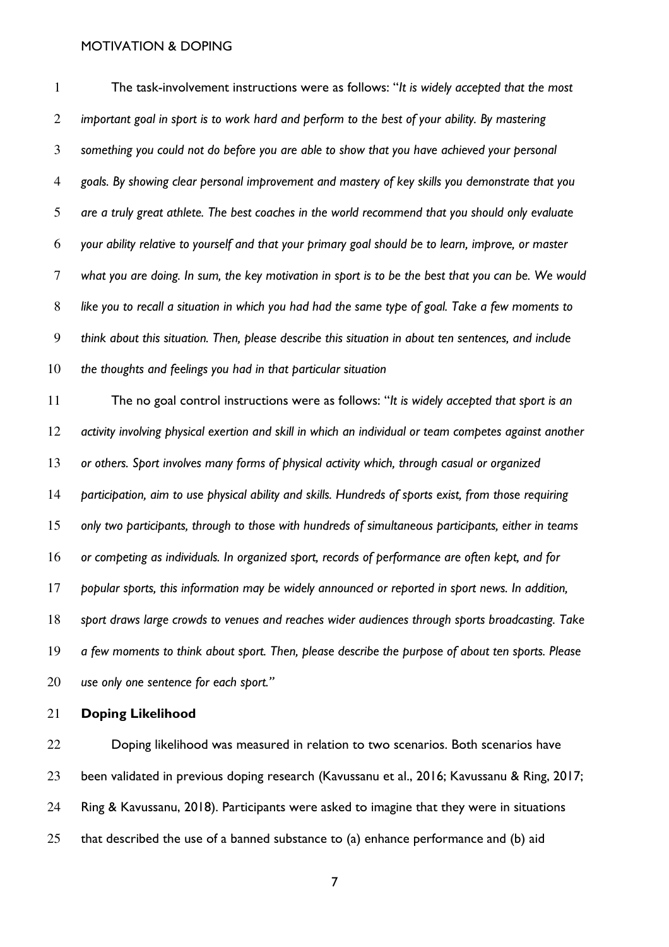The task-involvement instructions were as follows: "It is widely accepted that the most 2 important goal in sport is to work hard and perform to the best of your ability. By mastering something you could not do before you are able to show that you have achieved your personal goals. By showing clear personal improvement and mastery of key skills you demonstrate that you are a truly great athlete. The best coaches in the world recommend that you should only evaluate your ability relative to yourself and that your primary goal should be to learn, improve, or master what you are doing. In sum, the key motivation in sport is to be the best that you can be. We would like you to recall a situation in which you had had the same type of goal. Take a few moments to think about this situation. Then, please describe this situation in about ten sentences, and include 10 the thoughts and feelings you had in that particular situation

The no goal control instructions were as follows: "It is widely accepted that sport is an activity involving physical exertion and skill in which an individual or team competes against another or others. Sport involves many forms of physical activity which, through casual or organized participation, aim to use physical ability and skills. Hundreds of sports exist, from those requiring only two participants, through to those with hundreds of simultaneous participants, either in teams or competing as individuals. In organized sport, records of performance are often kept, and for 17 popular sports, this information may be widely announced or reported in sport news. In addition, sport draws large crowds to venues and reaches wider audiences through sports broadcasting. Take a few moments to think about sport. Then, please describe the purpose of about ten sports. Please 20 use only one sentence for each sport."

Doping Likelihood

Doping likelihood was measured in relation to two scenarios. Both scenarios have been validated in previous doping research (Kavussanu et al., 2016; Kavussanu & Ring, 2017; Ring & Kavussanu, 2018). Participants were asked to imagine that they were in situations that described the use of a banned substance to (a) enhance performance and (b) aid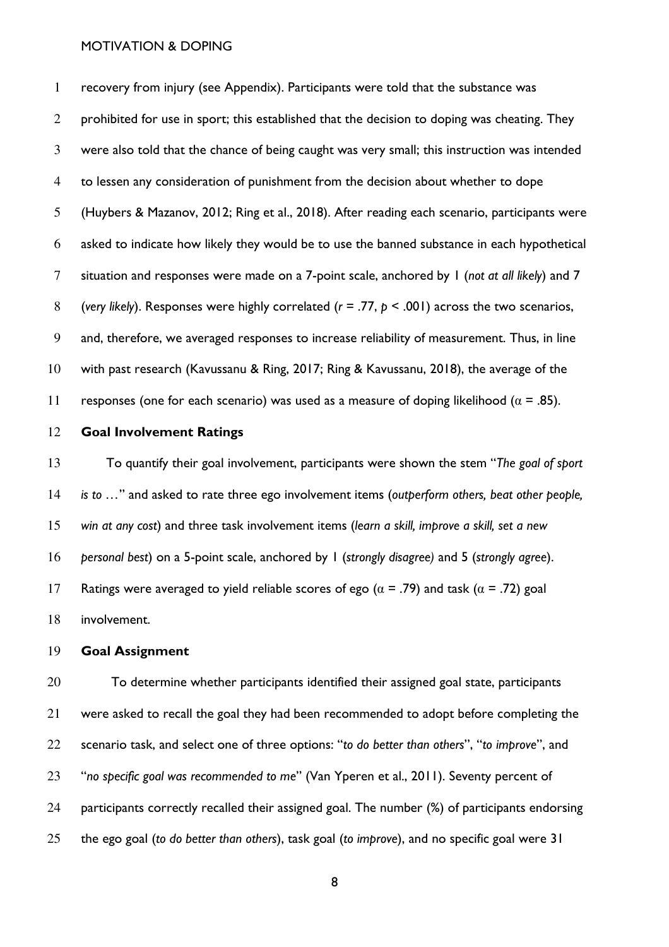recovery from injury (see Appendix). Participants were told that the substance was 2 prohibited for use in sport; this established that the decision to doping was cheating. They were also told that the chance of being caught was very small; this instruction was intended to lessen any consideration of punishment from the decision about whether to dope (Huybers & Mazanov, 2012; Ring et al., 2018). After reading each scenario, participants were asked to indicate how likely they would be to use the banned substance in each hypothetical 7 situation and responses were made on a 7-point scale, anchored by 1 (not at all likely) and 7 8 (very likely). Responses were highly correlated ( $r = .77$ ,  $p < .001$ ) across the two scenarios, and, therefore, we averaged responses to increase reliability of measurement. Thus, in line with past research (Kavussanu & Ring, 2017; Ring & Kavussanu, 2018), the average of the 11 responses (one for each scenario) was used as a measure of doping likelihood ( $\alpha$  = .85).

#### 12 Goal Involvement Ratings

13 To quantify their goal involvement, participants were shown the stem "The goal of sport 14 is to ..." and asked to rate three ego involvement items (outperform others, beat other people, 15 win at any cost) and three task involvement items (learn a skill, improve a skill, set a new 16 personal best) on a 5-point scale, anchored by 1 (strongly disagree) and 5 (strongly agree). 17 Ratings were averaged to yield reliable scores of ego ( $\alpha$  = .79) and task ( $\alpha$  = .72) goal 18 involvement.

#### 19 Goal Assignment

20 To determine whether participants identified their assigned goal state, participants 21 were asked to recall the goal they had been recommended to adopt before completing the 22 scenario task, and select one of three options: "to do better than others", "to improve", and 23 "no specific goal was recommended to me" (Van Yperen et al., 2011). Seventy percent of 24 participants correctly recalled their assigned goal. The number (%) of participants endorsing 25 the ego goal (to do better than others), task goal (to improve), and no specific goal were 31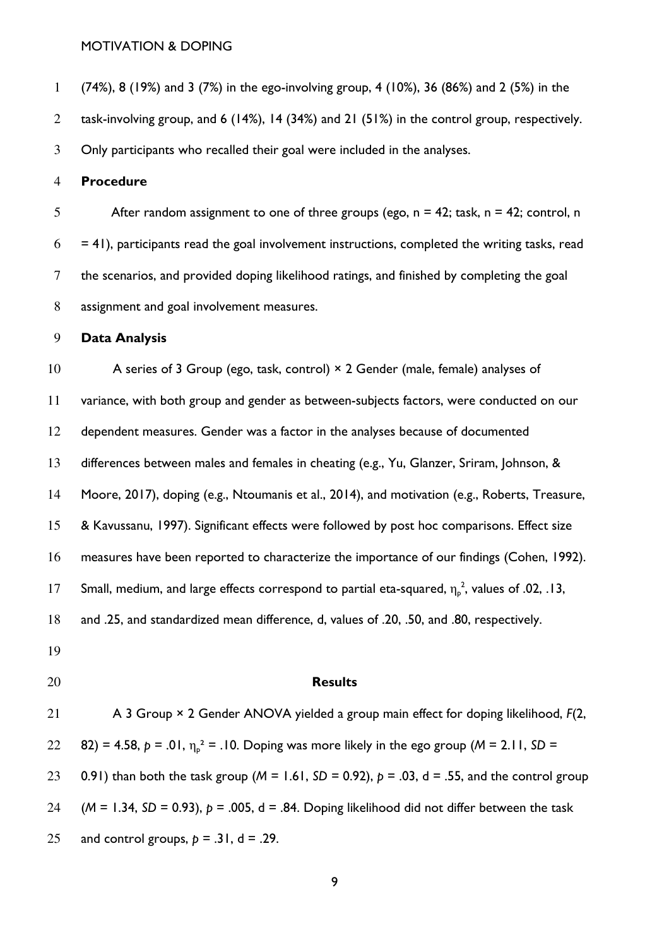(74%), 8 (19%) and 3 (7%) in the ego-involving group, 4 (10%), 36 (86%) and 2 (5%) in the

task-involving group, and 6 (14%), 14 (34%) and 21 (51%) in the control group, respectively.

Only participants who recalled their goal were included in the analyses.

#### Procedure

5 After random assignment to one of three groups (ego,  $n = 42$ ; task,  $n = 42$ ; control, n  $6 = 41$ , participants read the goal involvement instructions, completed the writing tasks, read the scenarios, and provided doping likelihood ratings, and finished by completing the goal assignment and goal involvement measures.

#### Data Analysis

10 A series of 3 Group (ego, task, control)  $\times$  2 Gender (male, female) analyses of variance, with both group and gender as between-subjects factors, were conducted on our dependent measures. Gender was a factor in the analyses because of documented 13 differences between males and females in cheating (e.g., Yu, Glanzer, Sriram, Johnson, & Moore, 2017), doping (e.g., Ntoumanis et al., 2014), and motivation (e.g., Roberts, Treasure, & Kavussanu, 1997). Significant effects were followed by post hoc comparisons. Effect size measures have been reported to characterize the importance of our findings (Cohen, 1992). 17 Small, medium, and large effects correspond to partial eta-squared,  $\eta_{\rm p}^2$ , values of .02, .13, and .25, and standardized mean difference, d, values of .20, .50, and .80, respectively. **Results** 21 A 3 Group × 2 Gender ANOVA yielded a group main effect for doping likelihood,  $F(2, 1)$ 22 82) = 4.58,  $p = .01$ ,  $\eta_p^2 = .10$ . Doping was more likely in the ego group (M = 2.11, SD = 23 0.91) than both the task group ( $M = 1.61$ , SD = 0.92),  $p = .03$ , d = .55, and the control group (M = 1.34, SD = 0.93),  $p = .005$ , d = .84. Doping likelihood did not differ between the task 25 and control groups,  $p = .31$ ,  $d = .29$ .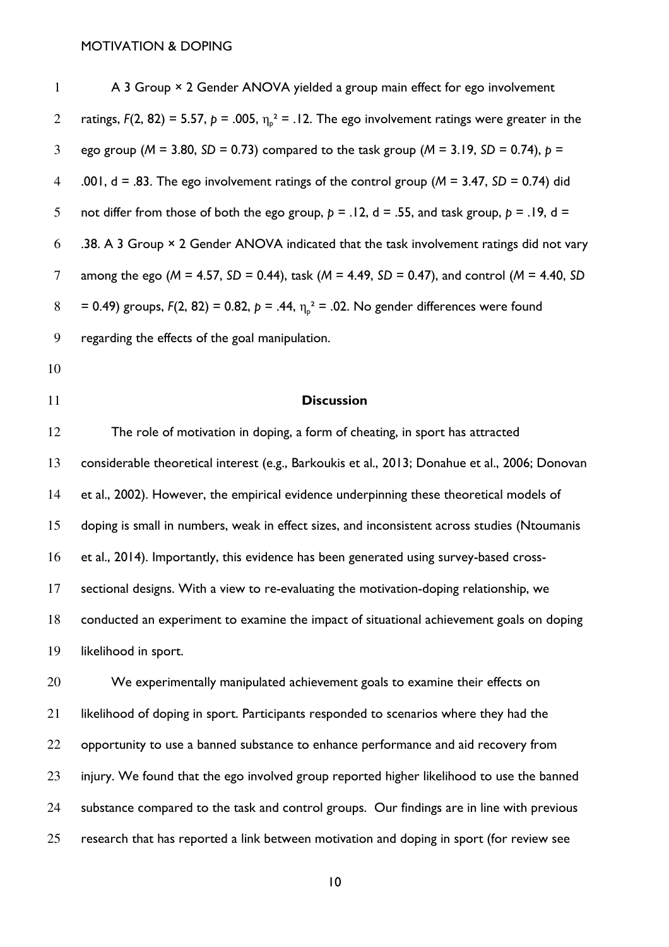| $\mathbf{1}$   | A 3 Group × 2 Gender ANOVA yielded a group main effect for ego involvement                                       |
|----------------|------------------------------------------------------------------------------------------------------------------|
| $\overline{2}$ | ratings, $F(2, 82) = 5.57$ , $p = .005$ , $\eta_{p}^{2} = .12$ . The ego involvement ratings were greater in the |
| 3              | ego group ( $M = 3.80$ , SD = 0.73) compared to the task group ( $M = 3.19$ , SD = 0.74), $p =$                  |
| $\overline{4}$ | .001, $d = .83$ . The ego involvement ratings of the control group ( $M = 3.47$ , SD = 0.74) did                 |
| 5              | not differ from those of both the ego group, $p = .12$ , $d = .55$ , and task group, $p = .19$ , $d =$           |
| 6              | .38. A 3 Group $\times$ 2 Gender ANOVA indicated that the task involvement ratings did not vary                  |
| $\tau$         | among the ego ( $M = 4.57$ , SD = 0.44), task ( $M = 4.49$ , SD = 0.47), and control ( $M = 4.40$ , SD           |
| $8\phantom{.}$ | = 0.49) groups, $F(2, 82) = 0.82$ , $p = .44$ , $\eta_{p}^{2} = .02$ . No gender differences were found          |
| 9              | regarding the effects of the goal manipulation.                                                                  |
| 10             |                                                                                                                  |
| 11             | <b>Discussion</b>                                                                                                |
| 12             | The role of motivation in doping, a form of cheating, in sport has attracted                                     |
| 13             | considerable theoretical interest (e.g., Barkoukis et al., 2013; Donahue et al., 2006; Donovan                   |
| 14             | et al., 2002). However, the empirical evidence underpinning these theoretical models of                          |
| 15             | doping is small in numbers, weak in effect sizes, and inconsistent across studies (Ntoumanis                     |
| 16             | et al., 2014). Importantly, this evidence has been generated using survey-based cross-                           |
| 17             | sectional designs. With a view to re-evaluating the motivation-doping relationship, we                           |
| 18             | conducted an experiment to examine the impact of situational achievement goals on doping                         |
| 19             | likelihood in sport.                                                                                             |
| 20             | We experimentally manipulated achievement goals to examine their effects on                                      |
| 21             | likelihood of doping in sport. Participants responded to scenarios where they had the                            |
| 22             | opportunity to use a banned substance to enhance performance and aid recovery from                               |
| 23             | injury. We found that the ego involved group reported higher likelihood to use the banned                        |
| 24             | substance compared to the task and control groups. Our findings are in line with previous                        |

research that has reported a link between motivation and doping in sport (for review see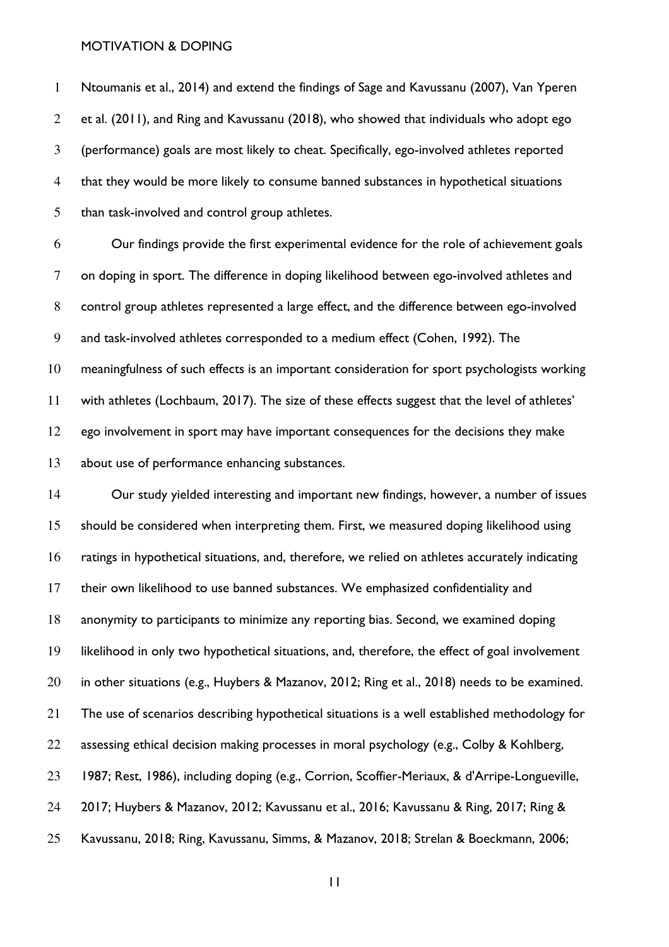Ntoumanis et al., 2014) and extend the findings of Sage and Kavussanu (2007), Van Yperen et al. (2011), and Ring and Kavussanu (2018), who showed that individuals who adopt ego (performance) goals are most likely to cheat. Specifically, ego-involved athletes reported that they would be more likely to consume banned substances in hypothetical situations than task-involved and control group athletes.

Our findings provide the first experimental evidence for the role of achievement goals on doping in sport. The difference in doping likelihood between ego-involved athletes and control group athletes represented a large effect, and the difference between ego-involved and task-involved athletes corresponded to a medium effect (Cohen, 1992). The meaningfulness of such effects is an important consideration for sport psychologists working with athletes (Lochbaum, 2017). The size of these effects suggest that the level of athletes' ego involvement in sport may have important consequences for the decisions they make about use of performance enhancing substances.

Our study yielded interesting and important new findings, however, a number of issues should be considered when interpreting them. First, we measured doping likelihood using ratings in hypothetical situations, and, therefore, we relied on athletes accurately indicating their own likelihood to use banned substances. We emphasized confidentiality and anonymity to participants to minimize any reporting bias. Second, we examined doping likelihood in only two hypothetical situations, and, therefore, the effect of goal involvement in other situations (e.g., Huybers & Mazanov, 2012; Ring et al., 2018) needs to be examined. The use of scenarios describing hypothetical situations is a well established methodology for 22 assessing ethical decision making processes in moral psychology (e.g., Colby & Kohlberg, 1987; Rest, 1986), including doping (e.g., Corrion, Scoffier-Meriaux, & d'Arripe-Longueville, 2017; Huybers & Mazanov, 2012; Kavussanu et al., 2016; Kavussanu & Ring, 2017; Ring & Kavussanu, 2018; Ring, Kavussanu, Simms, & Mazanov, 2018; Strelan & Boeckmann, 2006;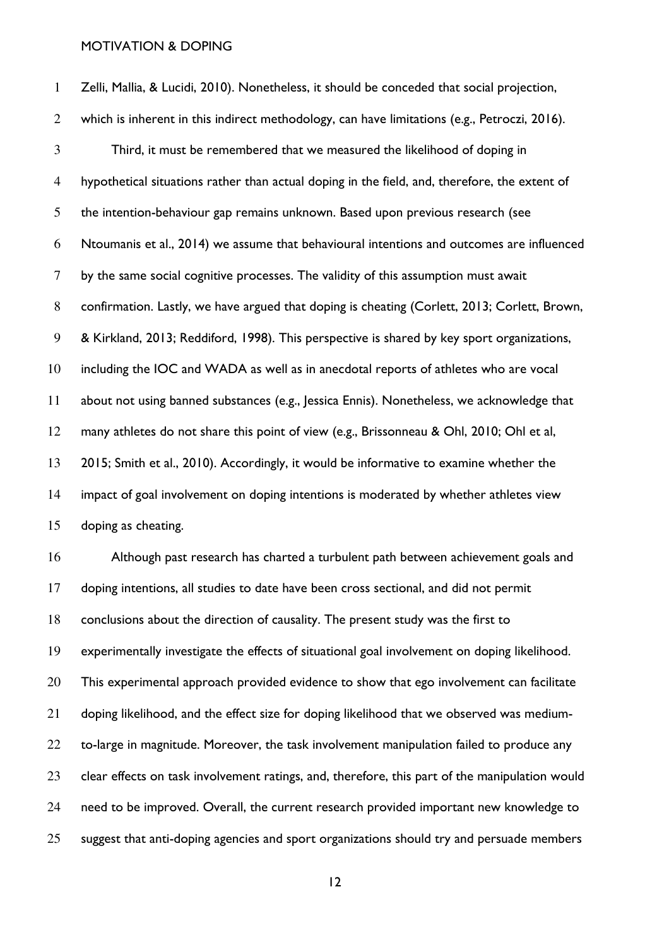Zelli, Mallia, & Lucidi, 2010). Nonetheless, it should be conceded that social projection, which is inherent in this indirect methodology, can have limitations (e.g., Petroczi, 2016). Third, it must be remembered that we measured the likelihood of doping in hypothetical situations rather than actual doping in the field, and, therefore, the extent of the intention-behaviour gap remains unknown. Based upon previous research (see Ntoumanis et al., 2014) we assume that behavioural intentions and outcomes are influenced by the same social cognitive processes. The validity of this assumption must await 8 confirmation. Lastly, we have argued that doping is cheating (Corlett, 2013; Corlett, Brown, & Kirkland, 2013; Reddiford, 1998). This perspective is shared by key sport organizations, including the IOC and WADA as well as in anecdotal reports of athletes who are vocal about not using banned substances (e.g., Jessica Ennis). Nonetheless, we acknowledge that many athletes do not share this point of view (e.g., Brissonneau & Ohl, 2010; Ohl et al, 2015; Smith et al., 2010). Accordingly, it would be informative to examine whether the impact of goal involvement on doping intentions is moderated by whether athletes view doping as cheating. Although past research has charted a turbulent path between achievement goals and doping intentions, all studies to date have been cross sectional, and did not permit conclusions about the direction of causality. The present study was the first to experimentally investigate the effects of situational goal involvement on doping likelihood. 20 This experimental approach provided evidence to show that ego involvement can facilitate doping likelihood, and the effect size for doping likelihood that we observed was medium-22 to-large in magnitude. Moreover, the task involvement manipulation failed to produce any

clear effects on task involvement ratings, and, therefore, this part of the manipulation would

need to be improved. Overall, the current research provided important new knowledge to

suggest that anti-doping agencies and sport organizations should try and persuade members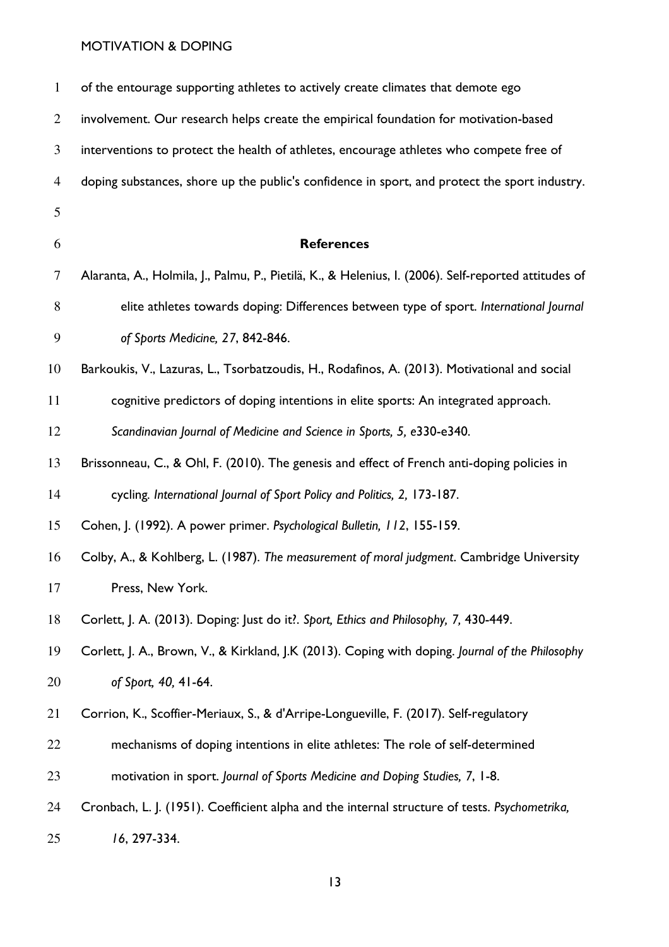| $\mathbf{1}$   | of the entourage supporting athletes to actively create climates that demote ego                     |
|----------------|------------------------------------------------------------------------------------------------------|
| 2              | involvement. Our research helps create the empirical foundation for motivation-based                 |
| 3              | interventions to protect the health of athletes, encourage athletes who compete free of              |
| $\overline{4}$ | doping substances, shore up the public's confidence in sport, and protect the sport industry.        |
| 5              |                                                                                                      |
| 6              | <b>References</b>                                                                                    |
| 7              | Alaranta, A., Holmila, J., Palmu, P., Pietilä, K., & Helenius, I. (2006). Self-reported attitudes of |
| 8              | elite athletes towards doping: Differences between type of sport. International Journal              |
| 9              | of Sports Medicine, 27, 842-846.                                                                     |
| 10             | Barkoukis, V., Lazuras, L., Tsorbatzoudis, H., Rodafinos, A. (2013). Motivational and social         |
| 11             | cognitive predictors of doping intentions in elite sports: An integrated approach.                   |
| 12             | Scandinavian Journal of Medicine and Science in Sports, 5, e330-e340.                                |
| 13             | Brissonneau, C., & Ohl, F. (2010). The genesis and effect of French anti-doping policies in          |
| 14             | cycling. International Journal of Sport Policy and Politics, 2, 173-187.                             |
| 15             | Cohen, J. (1992). A power primer. Psychological Bulletin, 112, 155-159.                              |
| 16             | Colby, A., & Kohlberg, L. (1987). The measurement of moral judgment. Cambridge University            |
| 17             | Press, New York.                                                                                     |
| 18             | Corlett, J. A. (2013). Doping: Just do it?. Sport, Ethics and Philosophy, 7, 430-449.                |
| 19             | Corlett, J. A., Brown, V., & Kirkland, J.K (2013). Coping with doping. Journal of the Philosophy     |
| 20             | of Sport, 40, 41-64.                                                                                 |
| 21             | Corrion, K., Scoffier-Meriaux, S., & d'Arripe-Longueville, F. (2017). Self-regulatory                |
| 22             | mechanisms of doping intentions in elite athletes: The role of self-determined                       |
| 23             | motivation in sport. Journal of Sports Medicine and Doping Studies, 7, 1-8.                          |
| 24             | Cronbach, L. J. (1951). Coefficient alpha and the internal structure of tests. Psychometrika,        |
| 25             | 16, 297-334.                                                                                         |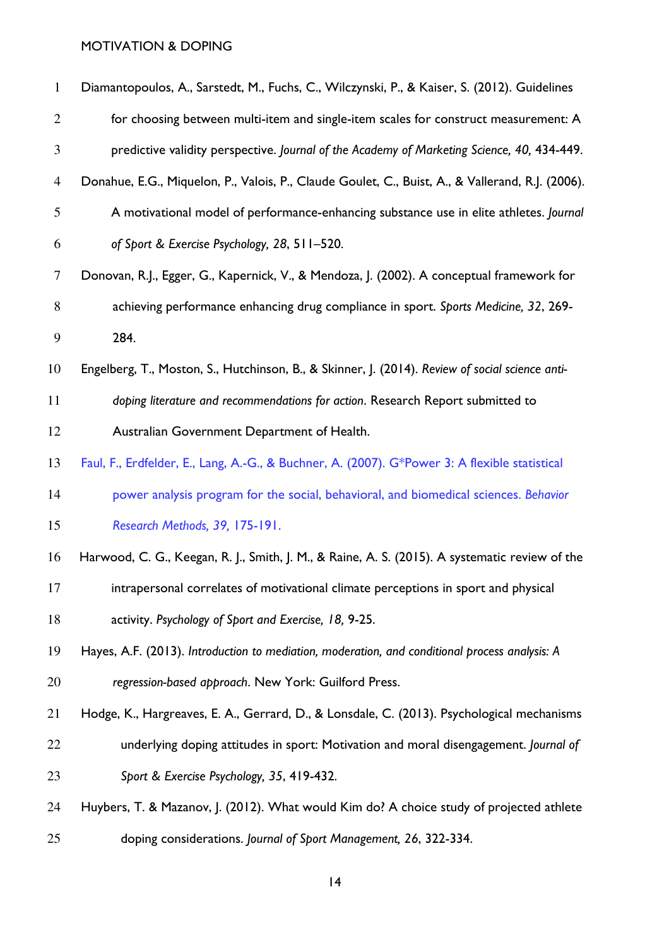| $\mathbf{1}$   | Diamantopoulos, A., Sarstedt, M., Fuchs, C., Wilczynski, P., & Kaiser, S. (2012). Guidelines     |
|----------------|--------------------------------------------------------------------------------------------------|
| $\overline{2}$ | for choosing between multi-item and single-item scales for construct measurement: A              |
| 3              | predictive validity perspective. Journal of the Academy of Marketing Science, 40, 434-449.       |
| $\overline{4}$ | Donahue, E.G., Miquelon, P., Valois, P., Claude Goulet, C., Buist, A., & Vallerand, R.J. (2006). |
| 5              | A motivational model of performance-enhancing substance use in elite athletes. Journal           |
| 6              | of Sport & Exercise Psychology, 28, 511-520.                                                     |
| 7              | Donovan, R.J., Egger, G., Kapernick, V., & Mendoza, J. (2002). A conceptual framework for        |
| 8              | achieving performance enhancing drug compliance in sport. Sports Medicine, 32, 269-              |
| 9              | 284.                                                                                             |
| 10             | Engelberg, T., Moston, S., Hutchinson, B., & Skinner, J. (2014). Review of social science anti-  |
| 11             | doping literature and recommendations for action. Research Report submitted to                   |
| 12             | Australian Government Department of Health.                                                      |
| 13             | Faul, F., Erdfelder, E., Lang, A.-G., & Buchner, A. (2007). G*Power 3: A flexible statistical    |
| 14             | power analysis program for the social, behavioral, and biomedical sciences. Behavior             |
| 15             | Research Methods, 39, 175-191.                                                                   |
| 16             | Harwood, C. G., Keegan, R. J., Smith, J. M., & Raine, A. S. (2015). A systematic review of the   |
| 17             | intrapersonal correlates of motivational climate perceptions in sport and physical               |
| 18             | activity. Psychology of Sport and Exercise, 18, 9-25.                                            |
| 19             | Hayes, A.F. (2013). Introduction to mediation, moderation, and conditional process analysis: A   |
| 20             | regression-based approach. New York: Guilford Press.                                             |
| 21             | Hodge, K., Hargreaves, E. A., Gerrard, D., & Lonsdale, C. (2013). Psychological mechanisms       |
| 22             | underlying doping attitudes in sport: Motivation and moral disengagement. Journal of             |
| 23             | Sport & Exercise Psychology, 35, 419-432.                                                        |
| 24             | Huybers, T. & Mazanov, J. (2012). What would Kim do? A choice study of projected athlete         |
| 25             | doping considerations. Journal of Sport Management, 26, 322-334.                                 |
|                |                                                                                                  |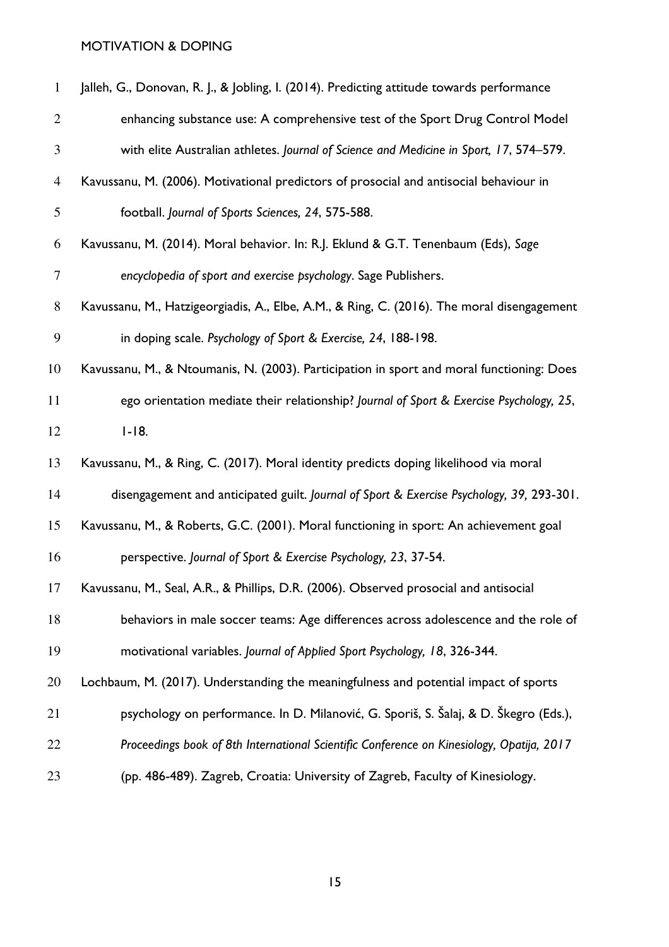| $\mathbf{1}$   | Jalleh, G., Donovan, R. J., & Jobling, I. (2014). Predicting attitude towards performance  |
|----------------|--------------------------------------------------------------------------------------------|
| $\overline{2}$ | enhancing substance use: A comprehensive test of the Sport Drug Control Model              |
| 3              | with elite Australian athletes. Journal of Science and Medicine in Sport, 17, 574-579.     |
| $\overline{4}$ | Kavussanu, M. (2006). Motivational predictors of prosocial and antisocial behaviour in     |
| 5              | football. Journal of Sports Sciences, 24, 575-588.                                         |
| 6              | Kavussanu, M. (2014). Moral behavior. In: R.J. Eklund & G.T. Tenenbaum (Eds), Sage         |
| $\tau$         | encyclopedia of sport and exercise psychology. Sage Publishers.                            |
| $8\,$          | Kavussanu, M., Hatzigeorgiadis, A., Elbe, A.M., & Ring, C. (2016). The moral disengagement |
| 9              | in doping scale. Psychology of Sport & Exercise, 24, 188-198.                              |
| 10             | Kavussanu, M., & Ntoumanis, N. (2003). Participation in sport and moral functioning: Does  |
| 11             | ego orientation mediate their relationship? Journal of Sport & Exercise Psychology, 25,    |
| 12             | $1 - 18.$                                                                                  |
| 13             | Kavussanu, M., & Ring, C. (2017). Moral identity predicts doping likelihood via moral      |
| 14             | disengagement and anticipated guilt. Journal of Sport & Exercise Psychology, 39, 293-301.  |
| 15             | Kavussanu, M., & Roberts, G.C. (2001). Moral functioning in sport: An achievement goal     |
| 16             | perspective. Journal of Sport & Exercise Psychology, 23, 37-54.                            |
| 17             | Kavussanu, M., Seal, A.R., & Phillips, D.R. (2006). Observed prosocial and antisocial      |
| 18             | behaviors in male soccer teams: Age differences across adolescence and the role of         |
| 19             | motivational variables. Journal of Applied Sport Psychology, 18, 326-344.                  |
| 20             | Lochbaum, M. (2017). Understanding the meaningfulness and potential impact of sports       |
| 21             | psychology on performance. In D. Milanović, G. Sporiš, S. Šalaj, & D. Škegro (Eds.),       |
| 22             | Proceedings book of 8th International Scientific Conference on Kinesiology, Opatija, 2017  |
| 23             | (pp. 486-489). Zagreb, Croatia: University of Zagreb, Faculty of Kinesiology.              |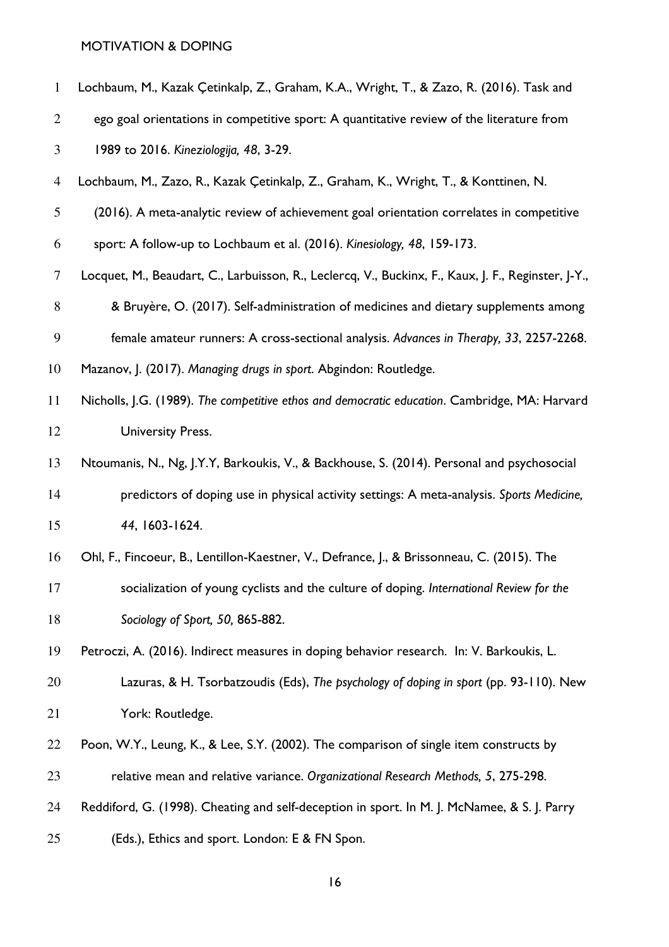| $\mathbf{1}$   | Lochbaum, M., Kazak Çetinkalp, Z., Graham, K.A., Wright, T., & Zazo, R. (2016). Task and            |
|----------------|-----------------------------------------------------------------------------------------------------|
| $\overline{2}$ | ego goal orientations in competitive sport: A quantitative review of the literature from            |
| 3              | 1989 to 2016. Kineziologija, 48, 3-29.                                                              |
| $\overline{4}$ | Lochbaum, M., Zazo, R., Kazak Çetinkalp, Z., Graham, K., Wright, T., & Konttinen, N.                |
| 5              | (2016). A meta-analytic review of achievement goal orientation correlates in competitive            |
| 6              | sport: A follow-up to Lochbaum et al. (2016). Kinesiology, 48, 159-173.                             |
| $\tau$         | Locquet, M., Beaudart, C., Larbuisson, R., Leclercq, V., Buckinx, F., Kaux, J. F., Reginster, J-Y., |
| $8\,$          | & Bruyère, O. (2017). Self-administration of medicines and dietary supplements among                |
| 9              | female amateur runners: A cross-sectional analysis. Advances in Therapy, 33, 2257-2268.             |
| 10             | Mazanov, J. (2017). Managing drugs in sport. Abgindon: Routledge.                                   |
| 11             | Nicholls, J.G. (1989). The competitive ethos and democratic education. Cambridge, MA: Harvard       |
| 12             | <b>University Press.</b>                                                                            |
| 13             | Ntoumanis, N., Ng, J.Y.Y, Barkoukis, V., & Backhouse, S. (2014). Personal and psychosocial          |
| 14             | predictors of doping use in physical activity settings: A meta-analysis. Sports Medicine,           |
| 15             | 44, 1603-1624.                                                                                      |
| 16             | Ohl, F., Fincoeur, B., Lentillon-Kaestner, V., Defrance, J., & Brissonneau, C. (2015). The          |
| 17             | socialization of young cyclists and the culture of doping. International Review for the             |
| 18             | Sociology of Sport, 50, 865-882.                                                                    |
| 19             | Petroczi, A. (2016). Indirect measures in doping behavior research. In: V. Barkoukis, L.            |
| 20             | Lazuras, & H. Tsorbatzoudis (Eds), The psychology of doping in sport (pp. 93-110). New              |
| 21             | York: Routledge.                                                                                    |
| 22             | Poon, W.Y., Leung, K., & Lee, S.Y. (2002). The comparison of single item constructs by              |
| 23             | relative mean and relative variance. Organizational Research Methods, 5, 275-298.                   |
| 24             | Reddiford, G. (1998). Cheating and self-deception in sport. In M. J. McNamee, & S. J. Parry         |
| 25             | (Eds.), Ethics and sport. London: E & FN Spon.                                                      |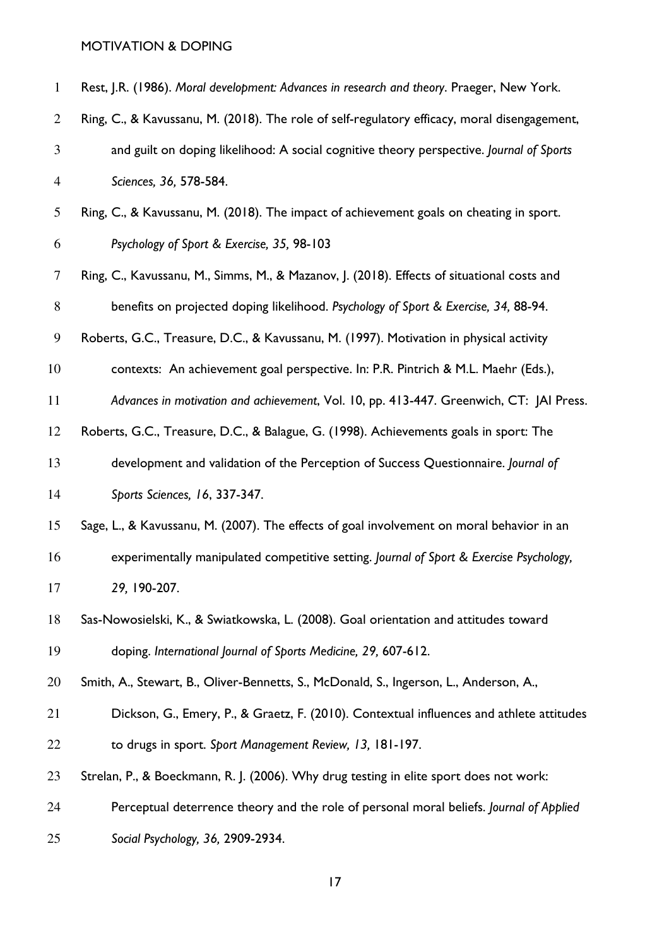| $\mathbf{1}$   | Rest, J.R. (1986). Moral development: Advances in research and theory. Praeger, New York.    |
|----------------|----------------------------------------------------------------------------------------------|
| $\overline{2}$ | Ring, C., & Kavussanu, M. (2018). The role of self-regulatory efficacy, moral disengagement, |
| 3              | and guilt on doping likelihood: A social cognitive theory perspective. Journal of Sports     |
| $\overline{4}$ | Sciences, 36, 578-584.                                                                       |
| 5              | Ring, C., & Kavussanu, M. (2018). The impact of achievement goals on cheating in sport.      |
| 6              | Psychology of Sport & Exercise, 35, 98-103                                                   |
| $\tau$         | Ring, C., Kavussanu, M., Simms, M., & Mazanov, J. (2018). Effects of situational costs and   |
| $8\,$          | benefits on projected doping likelihood. Psychology of Sport & Exercise, 34, 88-94.          |
| 9              | Roberts, G.C., Treasure, D.C., & Kavussanu, M. (1997). Motivation in physical activity       |
| 10             | contexts: An achievement goal perspective. In: P.R. Pintrich & M.L. Maehr (Eds.),            |
| 11             | Advances in motivation and achievement, Vol. 10, pp. 413-447. Greenwich, CT: JAI Press.      |
| 12             | Roberts, G.C., Treasure, D.C., & Balague, G. (1998). Achievements goals in sport: The        |
| 13             | development and validation of the Perception of Success Questionnaire. Journal of            |
| 14             | Sports Sciences, 16, 337-347.                                                                |
| 15             | Sage, L., & Kavussanu, M. (2007). The effects of goal involvement on moral behavior in an    |
| 16             | experimentally manipulated competitive setting. Journal of Sport & Exercise Psychology,      |
| 17             | 29, 190-207.                                                                                 |
| 18             | Sas-Nowosielski, K., & Swiatkowska, L. (2008). Goal orientation and attitudes toward         |
| 19             | doping. International Journal of Sports Medicine, 29, 607-612.                               |
| 20             | Smith, A., Stewart, B., Oliver-Bennetts, S., McDonald, S., Ingerson, L., Anderson, A.,       |
| 21             | Dickson, G., Emery, P., & Graetz, F. (2010). Contextual influences and athlete attitudes     |
| 22             | to drugs in sport. Sport Management Review, 13, 181-197.                                     |
| 23             | Strelan, P., & Boeckmann, R. J. (2006). Why drug testing in elite sport does not work:       |
| 24             | Perceptual deterrence theory and the role of personal moral beliefs. Journal of Applied      |
| 25             | Social Psychology, 36, 2909-2934.                                                            |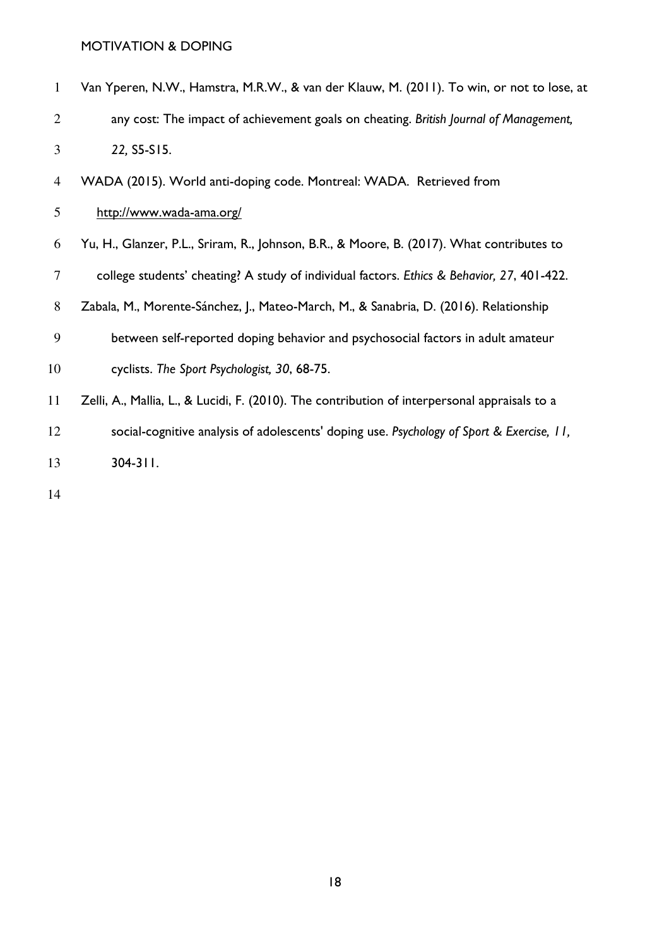| 1              | Van Yperen, N.W., Hamstra, M.R.W., & van der Klauw, M. (2011). To win, or not to lose, at |
|----------------|-------------------------------------------------------------------------------------------|
| 2              | any cost: The impact of achievement goals on cheating. British Journal of Management,     |
| $\mathbf{3}$   | 22, S5-S15.                                                                               |
| $\overline{4}$ | WADA (2015). World anti-doping code. Montreal: WADA. Retrieved from                       |
| 5 <sup>5</sup> | http://www.wada-ama.org/                                                                  |
| 6              | Yu, H., Glanzer, P.L., Sriram, R., Johnson, B.R., & Moore, B. (2017). What contributes to |

college students' cheating? A study of individual factors. Ethics & Behavior, 27, 401-422.

Zabala, M., Morente-Sánchez, J., Mateo-March, M., & Sanabria, D. (2016). Relationship

between self-reported doping behavior and psychosocial factors in adult amateur

| 10 |  | cyclists. The Sport Psychologist, 30, 68-75. |  |
|----|--|----------------------------------------------|--|
|    |  |                                              |  |

Zelli, A., Mallia, L., & Lucidi, F. (2010). The contribution of interpersonal appraisals to a

social-cognitive analysis of adolescents' doping use. Psychology of Sport & Exercise, 11,

304-311.